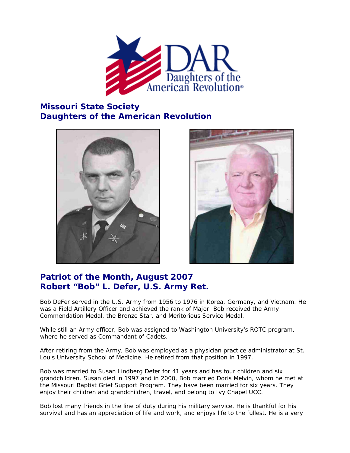

## **Missouri State Society Daughters of the American Revolution**





## **Patriot of the Month, August 2007 Robert "Bob" L. Defer, U.S. Army Ret.**

Bob DeFer served in the U.S. Army from 1956 to 1976 in Korea, Germany, and Vietnam. He was a Field Artillery Officer and achieved the rank of Major. Bob received the Army Commendation Medal, the Bronze Star, and Meritorious Service Medal.

While still an Army officer, Bob was assigned to Washington University's ROTC program, where he served as Commandant of Cadets.

After retiring from the Army, Bob was employed as a physician practice administrator at St. Louis University School of Medicine. He retired from that position in 1997.

Bob was married to Susan Lindberg Defer for 41 years and has four children and six grandchildren. Susan died in 1997 and in 2000, Bob married Doris Melvin, whom he met at the Missouri Baptist Grief Support Program. They have been married for six years. They enjoy their children and grandchildren, travel, and belong to Ivy Chapel UCC.

Bob lost many friends in the line of duty during his military service. He is thankful for his survival and has an appreciation of life and work, and enjoys life to the fullest. He is a very